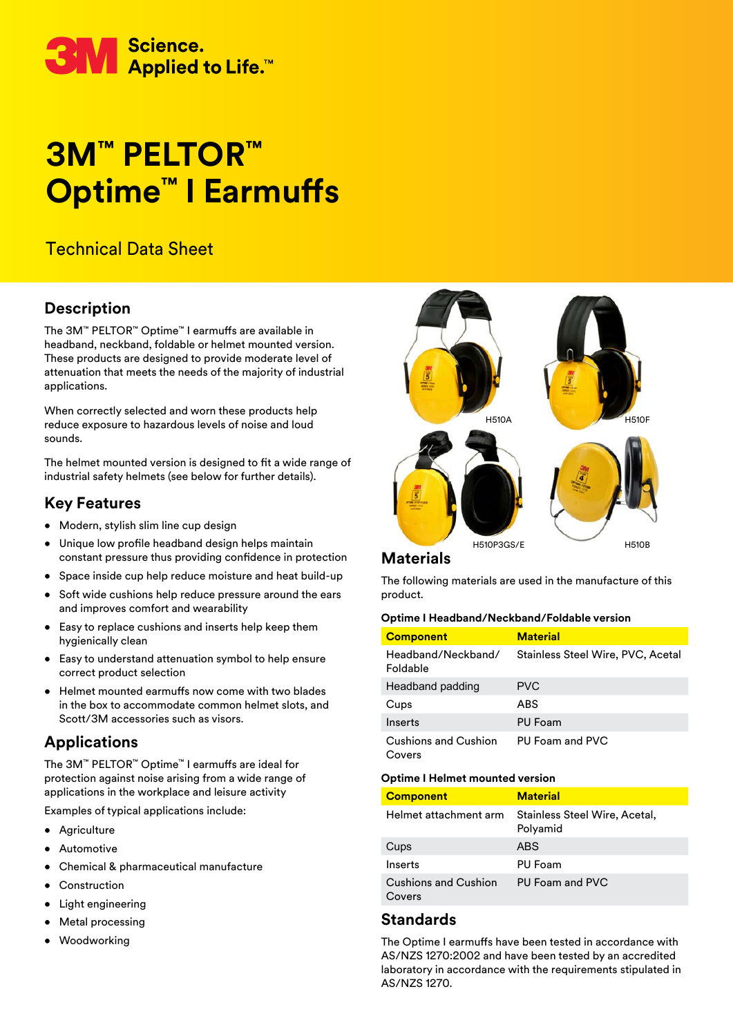

# **3M™ PELTOR™ Optime™ I Earmuffs**

# Technical Data Sheet

# **Description**

The 3M™ PELTOR™ Optime™ I earmuffs are available in headband, neckband, foldable or helmet mounted version. These products are designed to provide moderate level of attenuation that meets the needs of the majority of industrial applications.

When correctly selected and worn these products help reduce exposure to hazardous levels of noise and loud sounds.

The helmet mounted version is designed to fit a wide range of industrial safety helmets (see below for further details).

# **Key Features**

- Modern, stylish slim line cup design
- Unique low profile headband design helps maintain constant pressure thus providing confidence in protection
- Space inside cup help reduce moisture and heat build-up
- Soft wide cushions help reduce pressure around the ears and improves comfort and wearability
- Easy to replace cushions and inserts help keep them hygienically clean
- Easy to understand attenuation symbol to help ensure correct product selection
- Helmet mounted earmuffs now come with two blades in the box to accommodate common helmet slots, and Scott/3M accessories such as visors.

# **Applications**

The 3M™ PELTOR™ Optime™ I earmuffs are ideal for protection against noise arising from a wide range of applications in the workplace and leisure activity

Examples of typical applications include:

- Agriculture
- Automotive
- Chemical & pharmaceutical manufacture
- **Construction**
- Light engineering
- **Metal processing**
- **Woodworking**



## **Materials**

The following materials are used in the manufacture of this product.

#### **Optime I Headband/Neckband/Foldable version**

| <b>Component</b>                      | <b>Material</b>                   |
|---------------------------------------|-----------------------------------|
| Headband/Neckband/<br>Foldable        | Stainless Steel Wire, PVC, Acetal |
| Headband padding                      | PVC.                              |
| Cups                                  | ABS                               |
| Inserts                               | <b>PU Foam</b>                    |
| <b>Cushions and Cushion</b><br>Covers | PU Foam and PVC                   |

#### **Optime I Helmet mounted version**

| <b>Component</b>                      | <b>Material</b>                           |
|---------------------------------------|-------------------------------------------|
| Helmet attachment arm                 | Stainless Steel Wire, Acetal,<br>Polyamid |
| Cups                                  | <b>ABS</b>                                |
| Inserts                               | PU Foam                                   |
| <b>Cushions and Cushion</b><br>Covers | PU Foam and PVC                           |

## **Standards**

The Optime I earmuffs have been tested in accordance with AS/NZS 1270:2002 and have been tested by an accredited laboratory in accordance with the requirements stipulated in AS/NZS 1270.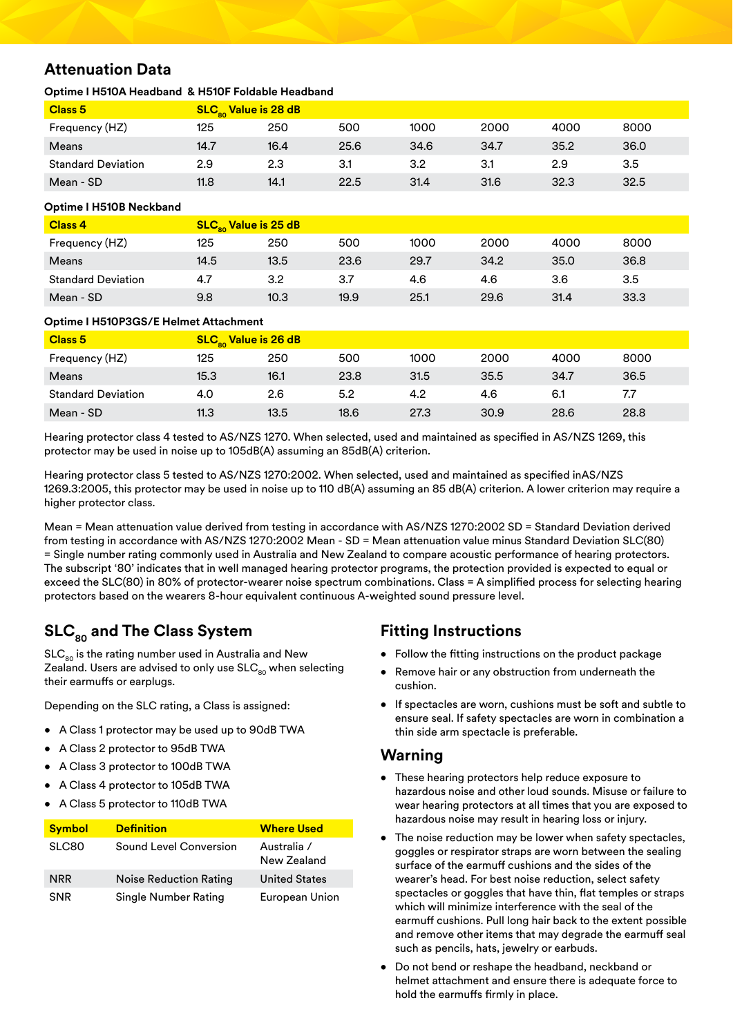# **Attenuation Data**

### **Optime I H510A Headband & H510F Foldable Headband**

| Class <sub>5</sub>        | $SLCso$ Value is 28 dB |      |      |      |      |      |      |
|---------------------------|------------------------|------|------|------|------|------|------|
| Frequency (HZ)            | 125                    | 250  | 500  | 1000 | 2000 | 4000 | 8000 |
| Means                     | 14.7                   | 16.4 | 25.6 | 34.6 | 34.7 | 35.2 | 36.0 |
| <b>Standard Deviation</b> | 2.9                    | 2.3  | 3.1  | 3.2  | 3.1  | 2.9  | 3.5  |
| Mean - SD                 | 11.8                   | 14.1 | 22.5 | 31.4 | 31.6 | 32.3 | 32.5 |

#### **Optime I H510B Neckband**

| <b>Class 4</b>            | $SLCso$ Value is 25 dB |      |      |      |      |      |      |
|---------------------------|------------------------|------|------|------|------|------|------|
| Frequency (HZ)            | 125                    | 250  | 500  | 1000 | 2000 | 4000 | 8000 |
| Means                     | 14.5                   | 13.5 | 23.6 | 29.7 | 34.2 | 35.0 | 36.8 |
| <b>Standard Deviation</b> | 4.7                    | 3.2  | 3.7  | 4.6  | 4.6  | 3.6  | 3.5  |
| Mean - SD                 | 9.8                    | 10.3 | 19.9 | 25.1 | 29.6 | 31.4 | 33.3 |

#### **Optime I H510P3GS/E Helmet Attachment**

| Class <sub>5</sub>        | <b>SLC<sub>80</sub> Value is 26 dB</b> |      |      |      |      |      |      |
|---------------------------|----------------------------------------|------|------|------|------|------|------|
| Frequency (HZ)            | 125                                    | 250  | 500  | 1000 | 2000 | 4000 | 8000 |
| Means                     | 15.3                                   | 16.1 | 23.8 | 31.5 | 35.5 | 34.7 | 36.5 |
| <b>Standard Deviation</b> | 4.0                                    | 2.6  | 5.2  | 4.2  | 4.6  | 6.1  | 7.7  |
| Mean - SD                 | 11.3                                   | 13.5 | 18.6 | 27.3 | 30.9 | 28.6 | 28.8 |

Hearing protector class 4 tested to AS/NZS 1270. When selected, used and maintained as specified in AS/NZS 1269, this protector may be used in noise up to 105dB(A) assuming an 85dB(A) criterion.

Hearing protector class 5 tested to AS/NZS 1270:2002. When selected, used and maintained as specified inAS/NZS 1269.3:2005, this protector may be used in noise up to 110 dB(A) assuming an 85 dB(A) criterion. A lower criterion may require a higher protector class.

Mean = Mean attenuation value derived from testing in accordance with AS/NZS 1270:2002 SD = Standard Deviation derived from testing in accordance with AS/NZS 1270:2002 Mean - SD = Mean attenuation value minus Standard Deviation SLC(80) = Single number rating commonly used in Australia and New Zealand to compare acoustic performance of hearing protectors. The subscript '80' indicates that in well managed hearing protector programs, the protection provided is expected to equal or exceed the SLC(80) in 80% of protector-wearer noise spectrum combinations. Class = A simplified process for selecting hearing protectors based on the wearers 8-hour equivalent continuous A-weighted sound pressure level.

# **SLC80 and The Class System**

 $SLC<sub>90</sub>$  is the rating number used in Australia and New Zealand. Users are advised to only use  $SLC_{80}$  when selecting their earmuffs or earplugs.

Depending on the SLC rating, a Class is assigned:

- A Class 1 protector may be used up to 90dB TWA
- A Class 2 protector to 95dB TWA
- A Class 3 protector to 100dB TWA
- A Class 4 protector to 105dB TWA
- A Class 5 protector to 110dB TWA

| <b>Symbol</b> | <b>Definition</b>      | <b>Where Used</b>          |
|---------------|------------------------|----------------------------|
| SLC80         | Sound Level Conversion | Australia /<br>New Zealand |
| <b>NRR</b>    | Noise Reduction Rating | <b>United States</b>       |
| <b>SNR</b>    | Single Number Rating   | European Union             |

# **Fitting Instructions**

- Follow the fitting instructions on the product package
- Remove hair or any obstruction from underneath the cushion.
- If spectacles are worn, cushions must be soft and subtle to ensure seal. If safety spectacles are worn in combination a thin side arm spectacle is preferable.

## **Warning**

- These hearing protectors help reduce exposure to hazardous noise and other loud sounds. Misuse or failure to wear hearing protectors at all times that you are exposed to hazardous noise may result in hearing loss or injury.
- The noise reduction may be lower when safety spectacles, goggles or respirator straps are worn between the sealing surface of the earmuff cushions and the sides of the wearer's head. For best noise reduction, select safety spectacles or goggles that have thin, flat temples or straps which will minimize interference with the seal of the earmuff cushions. Pull long hair back to the extent possible and remove other items that may degrade the earmuff seal such as pencils, hats, jewelry or earbuds.
- Do not bend or reshape the headband, neckband or helmet attachment and ensure there is adequate force to hold the earmuffs firmly in place.